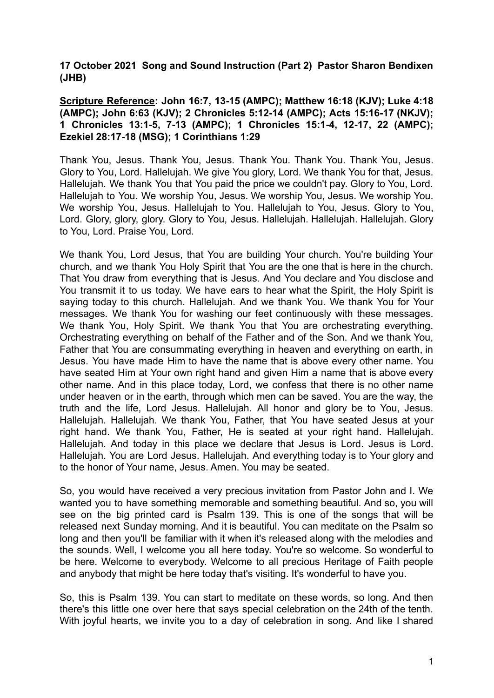**17 October 2021 Song and Sound Instruction (Part 2) Pastor Sharon Bendixen (JHB)**

**Scripture Reference: John 16:7, 13-15 (AMPC); Matthew 16:18 (KJV); Luke 4:18 (AMPC); John 6:63 (KJV); 2 Chronicles 5:12-14 (AMPC); Acts 15:16-17 (NKJV); 1 Chronicles 13:1-5, 7-13 (AMPC); 1 Chronicles 15:1-4, 12-17, 22 (AMPC); Ezekiel 28:17-18 (MSG); 1 Corinthians 1:29**

Thank You, Jesus. Thank You, Jesus. Thank You. Thank You. Thank You, Jesus. Glory to You, Lord. Hallelujah. We give You glory, Lord. We thank You for that, Jesus. Hallelujah. We thank You that You paid the price we couldn't pay. Glory to You, Lord. Hallelujah to You. We worship You, Jesus. We worship You, Jesus. We worship You. We worship You, Jesus. Hallelujah to You. Hallelujah to You, Jesus. Glory to You, Lord. Glory, glory, glory. Glory to You, Jesus. Hallelujah. Hallelujah. Hallelujah. Glory to You, Lord. Praise You, Lord.

We thank You, Lord Jesus, that You are building Your church. You're building Your church, and we thank You Holy Spirit that You are the one that is here in the church. That You draw from everything that is Jesus. And You declare and You disclose and You transmit it to us today. We have ears to hear what the Spirit, the Holy Spirit is saying today to this church. Hallelujah. And we thank You. We thank You for Your messages. We thank You for washing our feet continuously with these messages. We thank You, Holy Spirit. We thank You that You are orchestrating everything. Orchestrating everything on behalf of the Father and of the Son. And we thank You, Father that You are consummating everything in heaven and everything on earth, in Jesus. You have made Him to have the name that is above every other name. You have seated Him at Your own right hand and given Him a name that is above every other name. And in this place today, Lord, we confess that there is no other name under heaven or in the earth, through which men can be saved. You are the way, the truth and the life, Lord Jesus. Hallelujah. All honor and glory be to You, Jesus. Hallelujah. Hallelujah. We thank You, Father, that You have seated Jesus at your right hand. We thank You, Father, He is seated at your right hand. Hallelujah. Hallelujah. And today in this place we declare that Jesus is Lord. Jesus is Lord. Hallelujah. You are Lord Jesus. Hallelujah. And everything today is to Your glory and to the honor of Your name, Jesus. Amen. You may be seated.

So, you would have received a very precious invitation from Pastor John and I. We wanted you to have something memorable and something beautiful. And so, you will see on the big printed card is Psalm 139. This is one of the songs that will be released next Sunday morning. And it is beautiful. You can meditate on the Psalm so long and then you'll be familiar with it when it's released along with the melodies and the sounds. Well, I welcome you all here today. You're so welcome. So wonderful to be here. Welcome to everybody. Welcome to all precious Heritage of Faith people and anybody that might be here today that's visiting. It's wonderful to have you.

So, this is Psalm 139. You can start to meditate on these words, so long. And then there's this little one over here that says special celebration on the 24th of the tenth. With joyful hearts, we invite you to a day of celebration in song. And like I shared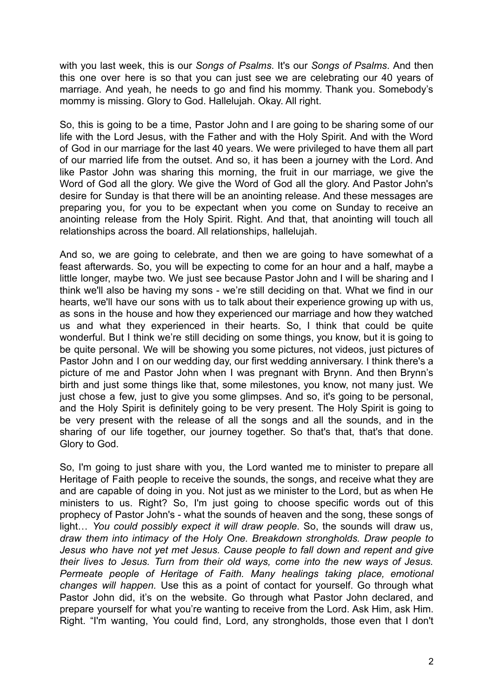with you last week, this is our *Songs of Psalms*. It's our *Songs of Psalms*. And then this one over here is so that you can just see we are celebrating our 40 years of marriage. And yeah, he needs to go and find his mommy. Thank you. Somebody's mommy is missing. Glory to God. Hallelujah. Okay. All right.

So, this is going to be a time, Pastor John and I are going to be sharing some of our life with the Lord Jesus, with the Father and with the Holy Spirit. And with the Word of God in our marriage for the last 40 years. We were privileged to have them all part of our married life from the outset. And so, it has been a journey with the Lord. And like Pastor John was sharing this morning, the fruit in our marriage, we give the Word of God all the glory. We give the Word of God all the glory. And Pastor John's desire for Sunday is that there will be an anointing release. And these messages are preparing you, for you to be expectant when you come on Sunday to receive an anointing release from the Holy Spirit. Right. And that, that anointing will touch all relationships across the board. All relationships, hallelujah.

And so, we are going to celebrate, and then we are going to have somewhat of a feast afterwards. So, you will be expecting to come for an hour and a half, maybe a little longer, maybe two. We just see because Pastor John and I will be sharing and I think we'll also be having my sons - we're still deciding on that. What we find in our hearts, we'll have our sons with us to talk about their experience growing up with us, as sons in the house and how they experienced our marriage and how they watched us and what they experienced in their hearts. So, I think that could be quite wonderful. But I think we're still deciding on some things, you know, but it is going to be quite personal. We will be showing you some pictures, not videos, just pictures of Pastor John and I on our wedding day, our first wedding anniversary. I think there's a picture of me and Pastor John when I was pregnant with Brynn. And then Brynn's birth and just some things like that, some milestones, you know, not many just. We just chose a few, just to give you some glimpses. And so, it's going to be personal, and the Holy Spirit is definitely going to be very present. The Holy Spirit is going to be very present with the release of all the songs and all the sounds, and in the sharing of our life together, our journey together. So that's that, that's that done. Glory to God.

So, I'm going to just share with you, the Lord wanted me to minister to prepare all Heritage of Faith people to receive the sounds, the songs, and receive what they are and are capable of doing in you. Not just as we minister to the Lord, but as when He ministers to us. Right? So, I'm just going to choose specific words out of this prophecy of Pastor John's - what the sounds of heaven and the song, these songs of light… *You could possibly expect it will draw people*. So, the sounds will draw us, *draw them into intimacy of the Holy One. Breakdown strongholds. Draw people to Jesus who have not yet met Jesus. Cause people to fall down and repent and give their lives to Jesus. Turn from their old ways, come into the new ways of Jesus. Permeate people of Heritage of Faith. Many healings taking place, emotional changes will happen.* Use this as a point of contact for yourself. Go through what Pastor John did, it's on the website. Go through what Pastor John declared, and prepare yourself for what you're wanting to receive from the Lord. Ask Him, ask Him. Right. "I'm wanting, You could find, Lord, any strongholds, those even that I don't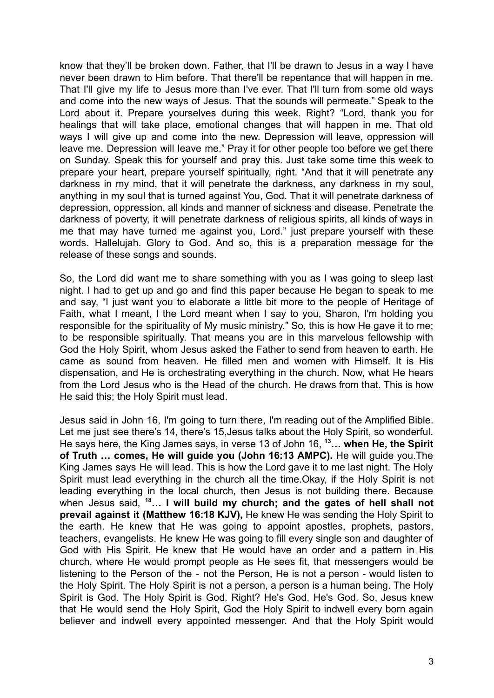know that they'll be broken down. Father, that I'll be drawn to Jesus in a way I have never been drawn to Him before. That there'll be repentance that will happen in me. That I'll give my life to Jesus more than I've ever. That I'll turn from some old ways and come into the new ways of Jesus. That the sounds will permeate." Speak to the Lord about it. Prepare yourselves during this week. Right? "Lord, thank you for healings that will take place, emotional changes that will happen in me. That old ways I will give up and come into the new. Depression will leave, oppression will leave me. Depression will leave me." Pray it for other people too before we get there on Sunday. Speak this for yourself and pray this. Just take some time this week to prepare your heart, prepare yourself spiritually, right. "And that it will penetrate any darkness in my mind, that it will penetrate the darkness, any darkness in my soul, anything in my soul that is turned against You, God. That it will penetrate darkness of depression, oppression, all kinds and manner of sickness and disease. Penetrate the darkness of poverty, it will penetrate darkness of religious spirits, all kinds of ways in me that may have turned me against you, Lord." just prepare yourself with these words. Hallelujah. Glory to God. And so, this is a preparation message for the release of these songs and sounds.

So, the Lord did want me to share something with you as I was going to sleep last night. I had to get up and go and find this paper because He began to speak to me and say, "I just want you to elaborate a little bit more to the people of Heritage of Faith, what I meant, I the Lord meant when I say to you, Sharon, I'm holding you responsible for the spirituality of My music ministry." So, this is how He gave it to me; to be responsible spiritually. That means you are in this marvelous fellowship with God the Holy Spirit, whom Jesus asked the Father to send from heaven to earth. He came as sound from heaven. He filled men and women with Himself. It is His dispensation, and He is orchestrating everything in the church. Now, what He hears from the Lord Jesus who is the Head of the church. He draws from that. This is how He said this; the Holy Spirit must lead.

Jesus said in John 16, I'm going to turn there, I'm reading out of the Amplified Bible. Let me just see there's 14, there's 15,Jesus talks about the Holy Spirit, so wonderful. He says here, the King James says, in verse 13 of John 16, **<sup>13</sup>… when He, the Spirit of Truth … comes, He will guide you (John 16:13 AMPC).** He will guide you.The King James says He will lead. This is how the Lord gave it to me last night. The Holy Spirit must lead everything in the church all the time.Okay, if the Holy Spirit is not leading everything in the local church, then Jesus is not building there. Because when Jesus said, **<sup>18</sup>… I will build my church; and the gates of hell shall not prevail against it (Matthew 16:18 KJV),** He knew He was sending the Holy Spirit to the earth. He knew that He was going to appoint apostles, prophets, pastors, teachers, evangelists. He knew He was going to fill every single son and daughter of God with His Spirit. He knew that He would have an order and a pattern in His church, where He would prompt people as He sees fit, that messengers would be listening to the Person of the - not the Person, He is not a person - would listen to the Holy Spirit. The Holy Spirit is not a person, a person is a human being. The Holy Spirit is God. The Holy Spirit is God. Right? He's God, He's God. So, Jesus knew that He would send the Holy Spirit, God the Holy Spirit to indwell every born again believer and indwell every appointed messenger. And that the Holy Spirit would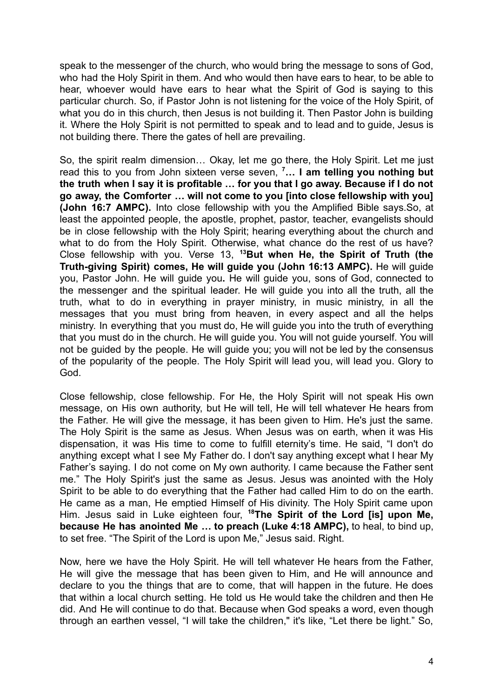speak to the messenger of the church, who would bring the message to sons of God, who had the Holy Spirit in them. And who would then have ears to hear, to be able to hear, whoever would have ears to hear what the Spirit of God is saying to this particular church. So, if Pastor John is not listening for the voice of the Holy Spirit, of what you do in this church, then Jesus is not building it. Then Pastor John is building it. Where the Holy Spirit is not permitted to speak and to lead and to guide, Jesus is not building there. There the gates of hell are prevailing.

So, the spirit realm dimension… Okay, let me go there, the Holy Spirit. Let me just read this to you from John sixteen verse seven, **<sup>7</sup>… I am telling you nothing but the truth when I say it is profitable … for you that I go away. Because if I do not go away, the Comforter … will not come to you [into close fellowship with you] (John 16:7 AMPC).** Into close fellowship with you the Amplified Bible says.So, at least the appointed people, the apostle, prophet, pastor, teacher, evangelists should be in close fellowship with the Holy Spirit; hearing everything about the church and what to do from the Holy Spirit. Otherwise, what chance do the rest of us have? Close fellowship with you. Verse 13, **<sup>13</sup>But when He, the Spirit of Truth (the Truth-giving Spirit) comes, He will guide you (John 16:13 AMPC).** He will guide you, Pastor John. He will guide you**.** He will guide you, sons of God, connected to the messenger and the spiritual leader. He will guide you into all the truth, all the truth, what to do in everything in prayer ministry, in music ministry, in all the messages that you must bring from heaven, in every aspect and all the helps ministry. In everything that you must do, He will guide you into the truth of everything that you must do in the church. He will guide you. You will not guide yourself. You will not be guided by the people. He will guide you; you will not be led by the consensus of the popularity of the people. The Holy Spirit will lead you, will lead you. Glory to God.

Close fellowship, close fellowship. For He, the Holy Spirit will not speak His own message, on His own authority, but He will tell, He will tell whatever He hears from the Father. He will give the message, it has been given to Him. He's just the same. The Holy Spirit is the same as Jesus. When Jesus was on earth, when it was His dispensation, it was His time to come to fulfill eternity's time. He said, "I don't do anything except what I see My Father do. I don't say anything except what I hear My Father's saying. I do not come on My own authority. I came because the Father sent me." The Holy Spirit's just the same as Jesus. Jesus was anointed with the Holy Spirit to be able to do everything that the Father had called Him to do on the earth. He came as a man, He emptied Himself of His divinity. The Holy Spirit came upon Him. Jesus said in Luke eighteen four, **<sup>18</sup>The Spirit of the Lord [is] upon Me, because He has anointed Me … to preach (Luke 4:18 AMPC),** to heal, to bind up, to set free. "The Spirit of the Lord is upon Me," Jesus said. Right.

Now, here we have the Holy Spirit. He will tell whatever He hears from the Father, He will give the message that has been given to Him, and He will announce and declare to you the things that are to come, that will happen in the future. He does that within a local church setting. He told us He would take the children and then He did. And He will continue to do that. Because when God speaks a word, even though through an earthen vessel, "I will take the children," it's like, "Let there be light." So,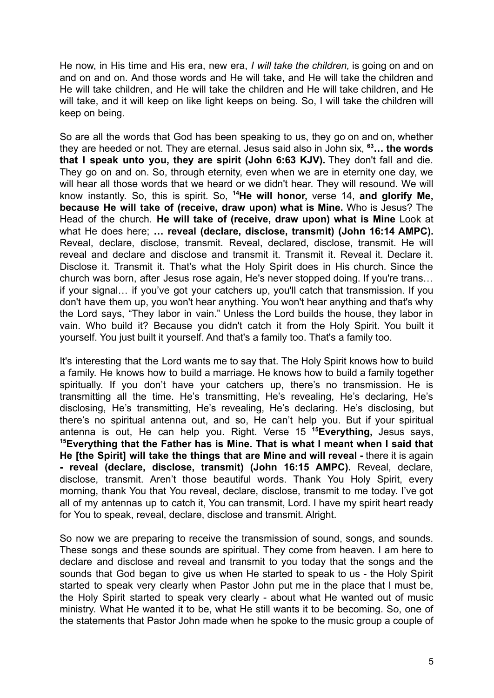He now, in His time and His era, new era, *I will take the children,* is going on and on and on and on. And those words and He will take, and He will take the children and He will take children, and He will take the children and He will take children, and He will take, and it will keep on like light keeps on being. So, I will take the children will keep on being.

So are all the words that God has been speaking to us, they go on and on, whether they are heeded or not. They are eternal. Jesus said also in John six, **<sup>63</sup>… the words that I speak unto you, they are spirit (John 6:63 KJV).** They don't fall and die. They go on and on. So, through eternity, even when we are in eternity one day, we will hear all those words that we heard or we didn't hear. They will resound. We will know instantly. So, this is spirit. So, **<sup>14</sup>He will honor,** verse 14, **and glorify Me, because He will take of (receive, draw upon) what is Mine.** Who is Jesus? The Head of the church. **He will take of (receive, draw upon) what is Mine** Look at what He does here; **… reveal (declare, disclose, transmit) (John 16:14 AMPC).** Reveal, declare, disclose, transmit. Reveal, declared, disclose, transmit. He will reveal and declare and disclose and transmit it. Transmit it. Reveal it. Declare it. Disclose it. Transmit it. That's what the Holy Spirit does in His church. Since the church was born, after Jesus rose again, He's never stopped doing. If you're trans… if your signal… if you've got your catchers up, you'll catch that transmission. If you don't have them up, you won't hear anything. You won't hear anything and that's why the Lord says, "They labor in vain." Unless the Lord builds the house, they labor in vain. Who build it? Because you didn't catch it from the Holy Spirit. You built it yourself. You just built it yourself. And that's a family too. That's a family too.

It's interesting that the Lord wants me to say that. The Holy Spirit knows how to build a family. He knows how to build a marriage. He knows how to build a family together spiritually. If you don't have your catchers up, there's no transmission. He is transmitting all the time. He's transmitting, He's revealing, He's declaring, He's disclosing, He's transmitting, He's revealing, He's declaring. He's disclosing, but there's no spiritual antenna out, and so, He can't help you. But if your spiritual antenna is out, He can help you. Right. Verse 15 **<sup>15</sup>Everything,** Jesus says, **<sup>15</sup>Everything that the Father has is Mine. That is what I meant when I said that He [the Spirit] will take the things that are Mine and will reveal -** there it is again **- reveal (declare, disclose, transmit) (John 16:15 AMPC).** Reveal, declare, disclose, transmit. Aren't those beautiful words. Thank You Holy Spirit, every morning, thank You that You reveal, declare, disclose, transmit to me today. I've got all of my antennas up to catch it, You can transmit, Lord. I have my spirit heart ready for You to speak, reveal, declare, disclose and transmit. Alright.

So now we are preparing to receive the transmission of sound, songs, and sounds. These songs and these sounds are spiritual. They come from heaven. I am here to declare and disclose and reveal and transmit to you today that the songs and the sounds that God began to give us when He started to speak to us - the Holy Spirit started to speak very clearly when Pastor John put me in the place that I must be, the Holy Spirit started to speak very clearly - about what He wanted out of music ministry. What He wanted it to be, what He still wants it to be becoming. So, one of the statements that Pastor John made when he spoke to the music group a couple of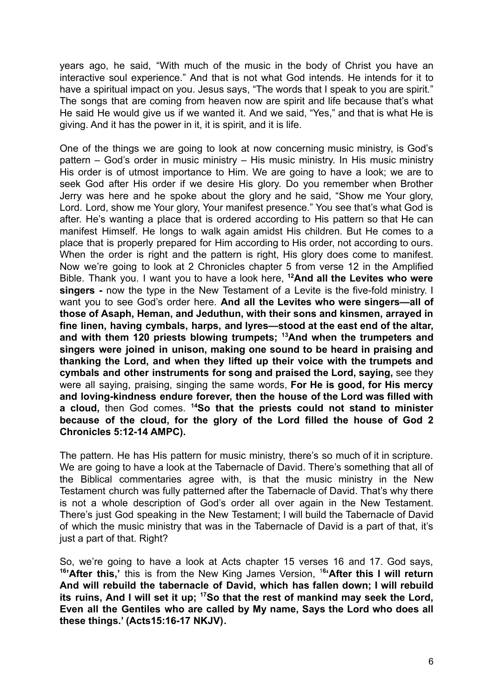years ago, he said, "With much of the music in the body of Christ you have an interactive soul experience." And that is not what God intends. He intends for it to have a spiritual impact on you. Jesus says, "The words that I speak to you are spirit." The songs that are coming from heaven now are spirit and life because that's what He said He would give us if we wanted it. And we said, "Yes," and that is what He is giving. And it has the power in it, it is spirit, and it is life.

One of the things we are going to look at now concerning music ministry, is God's pattern – God's order in music ministry – His music ministry. In His music ministry His order is of utmost importance to Him. We are going to have a look; we are to seek God after His order if we desire His glory. Do you remember when Brother Jerry was here and he spoke about the glory and he said, "Show me Your glory, Lord. Lord, show me Your glory, Your manifest presence." You see that's what God is after. He's wanting a place that is ordered according to His pattern so that He can manifest Himself. He longs to walk again amidst His children. But He comes to a place that is properly prepared for Him according to His order, not according to ours. When the order is right and the pattern is right, His glory does come to manifest. Now we're going to look at 2 Chronicles chapter 5 from verse 12 in the Amplified Bible. Thank you. I want you to have a look here, **<sup>12</sup>And all the Levites who were singers -** now the type in the New Testament of a Levite is the five-fold ministry. I want you to see God's order here. **And all the Levites who were singers—all of those of Asaph, Heman, and Jeduthun, with their sons and kinsmen, arrayed in fine linen, having cymbals, harps, and lyres—stood at the east end of the altar, and with them 120 priests blowing trumpets; <sup>13</sup>And when the trumpeters and singers were joined in unison, making one sound to be heard in praising and thanking the Lord, and when they lifted up their voice with the trumpets and cymbals and other instruments for song and praised the Lord, saying,** see they were all saying, praising, singing the same words, **For He is good, for His mercy and loving-kindness endure forever, then the house of the Lord was filled with a cloud,** then God comes. **<sup>14</sup>So that the priests could not stand to minister because of the cloud, for the glory of the Lord filled the house of God 2 Chronicles 5:12-14 AMPC).**

The pattern. He has His pattern for music ministry, there's so much of it in scripture. We are going to have a look at the Tabernacle of David. There's something that all of the Biblical commentaries agree with, is that the music ministry in the New Testament church was fully patterned after the Tabernacle of David. That's why there is not a whole description of God's order all over again in the New Testament. There's just God speaking in the New Testament; I will build the Tabernacle of David of which the music ministry that was in the Tabernacle of David is a part of that, it's just a part of that. Right?

So, we're going to have a look at Acts chapter 15 verses 16 and 17. God says, **16 'After this,'** this is from the New King James Version, <sup>1</sup>**<sup>6</sup> 'After this I will return And will rebuild the tabernacle of David, which has fallen down; I will rebuild its ruins, And I will set it up; <sup>17</sup>So that the rest of mankind may seek the Lord, Even all the Gentiles who are called by My name, Says the Lord who does all these things.' (Acts15:16-17 NKJV).**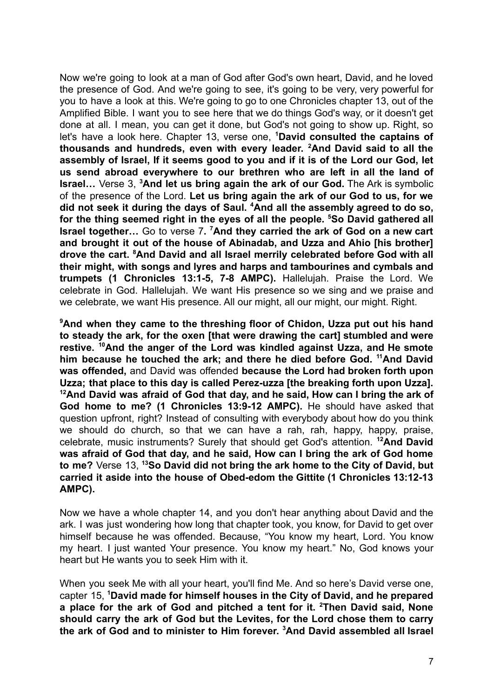Now we're going to look at a man of God after God's own heart, David, and he loved the presence of God. And we're going to see, it's going to be very, very powerful for you to have a look at this. We're going to go to one Chronicles chapter 13, out of the Amplified Bible. I want you to see here that we do things God's way, or it doesn't get done at all. I mean, you can get it done, but God's not going to show up. Right, so let's have a look here. Chapter 13, verse one, **<sup>1</sup>David consulted the captains of thousands and hundreds, even with every leader. <sup>2</sup>And David said to all the assembly of Israel, If it seems good to you and if it is of the Lord our God, let us send abroad everywhere to our brethren who are left in all the land of Israel…** Verse 3, **<sup>3</sup>And let us bring again the ark of our God.** The Ark is symbolic of the presence of the Lord. **Let us bring again the ark of our God to us, for we did not seek it during the days of Saul. <sup>4</sup>And all the assembly agreed to do so, for the thing seemed right in the eyes of all the people. <sup>5</sup>So David gathered all Israel together…** Go to verse 7**. <sup>7</sup>And they carried the ark of God on a new cart and brought it out of the house of Abinadab, and Uzza and Ahio [his brother] drove the cart. <sup>8</sup>And David and all Israel merrily celebrated before God with all their might, with songs and lyres and harps and tambourines and cymbals and trumpets (1 Chronicles 13:1-5, 7-8 AMPC).** Hallelujah. Praise the Lord. We celebrate in God. Hallelujah. We want His presence so we sing and we praise and we celebrate, we want His presence. All our might, all our might, our might. Right.

**<sup>9</sup>And when they came to the threshing floor of Chidon, Uzza put out his hand to steady the ark, for the oxen [that were drawing the cart] stumbled and were restive. <sup>10</sup>And the anger of the Lord was kindled against Uzza, and He smote him because he touched the ark; and there he died before God. <sup>11</sup>And David was offended,** and David was offended **because the Lord had broken forth upon Uzza; that place to this day is called Perez-uzza [the breaking forth upon Uzza]. <sup>12</sup>And David was afraid of God that day, and he said, How can I bring the ark of God home to me? (1 Chronicles 13:9-12 AMPC).** He should have asked that question upfront, right? Instead of consulting with everybody about how do you think we should do church, so that we can have a rah, rah, happy, happy, praise, celebrate, music instruments? Surely that should get God's attention. **<sup>12</sup>And David was afraid of God that day, and he said, How can I bring the ark of God home to me?** Verse 13, **<sup>13</sup>So David did not bring the ark home to the City of David, but carried it aside into the house of Obed-edom the Gittite (1 Chronicles 13:12-13 AMPC).**

Now we have a whole chapter 14, and you don't hear anything about David and the ark. I was just wondering how long that chapter took, you know, for David to get over himself because he was offended. Because, "You know my heart, Lord. You know my heart. I just wanted Your presence. You know my heart." No, God knows your heart but He wants you to seek Him with it.

When you seek Me with all your heart, you'll find Me. And so here's David verse one, capter 15, **<sup>1</sup>David made for himself houses in the City of David, and he prepared a place for the ark of God and pitched a tent for it. <sup>2</sup>Then David said, None should carry the ark of God but the Levites, for the Lord chose them to carry the ark of God and to minister to Him forever. <sup>3</sup>And David assembled all Israel**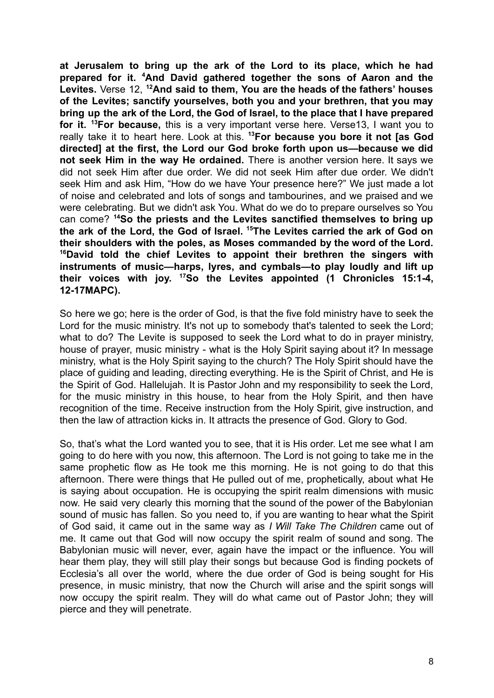**at Jerusalem to bring up the ark of the Lord to its place, which he had prepared for it. <sup>4</sup>And David gathered together the sons of Aaron and the Levites.** Verse 12, **<sup>12</sup>And said to them, You are the heads of the fathers' houses of the Levites; sanctify yourselves, both you and your brethren, that you may bring up the ark of the Lord, the God of Israel, to the place that I have prepared for it. <sup>13</sup>For because,** this is a very important verse here. Verse13, I want you to really take it to heart here. Look at this. **<sup>13</sup>For because you bore it not [as God directed] at the first, the Lord our God broke forth upon us—because we did not seek Him in the way He ordained.** There is another version here. It says we did not seek Him after due order. We did not seek Him after due order. We didn't seek Him and ask Him, "How do we have Your presence here?" We just made a lot of noise and celebrated and lots of songs and tambourines, and we praised and we were celebrating. But we didn't ask You. What do we do to prepare ourselves so You can come? **<sup>14</sup>So the priests and the Levites sanctified themselves to bring up the ark of the Lord, the God of Israel. <sup>15</sup>The Levites carried the ark of God on their shoulders with the poles, as Moses commanded by the word of the Lord. <sup>16</sup>David told the chief Levites to appoint their brethren the singers with instruments of music—harps, lyres, and cymbals—to play loudly and lift up their voices with joy. <sup>17</sup>So the Levites appointed (1 Chronicles 15:1-4, 12-17MAPC).**

So here we go; here is the order of God, is that the five fold ministry have to seek the Lord for the music ministry. It's not up to somebody that's talented to seek the Lord; what to do? The Levite is supposed to seek the Lord what to do in prayer ministry, house of prayer, music ministry - what is the Holy Spirit saying about it? In message ministry, what is the Holy Spirit saying to the church? The Holy Spirit should have the place of guiding and leading, directing everything. He is the Spirit of Christ, and He is the Spirit of God. Hallelujah. It is Pastor John and my responsibility to seek the Lord, for the music ministry in this house, to hear from the Holy Spirit, and then have recognition of the time. Receive instruction from the Holy Spirit, give instruction, and then the law of attraction kicks in. It attracts the presence of God. Glory to God.

So, that's what the Lord wanted you to see, that it is His order. Let me see what I am going to do here with you now, this afternoon. The Lord is not going to take me in the same prophetic flow as He took me this morning. He is not going to do that this afternoon. There were things that He pulled out of me, prophetically, about what He is saying about occupation. He is occupying the spirit realm dimensions with music now. He said very clearly this morning that the sound of the power of the Babylonian sound of music has fallen. So you need to, if you are wanting to hear what the Spirit of God said, it came out in the same way as *I Will Take The Children* came out of me. It came out that God will now occupy the spirit realm of sound and song. The Babylonian music will never, ever, again have the impact or the influence. You will hear them play, they will still play their songs but because God is finding pockets of Ecclesia's all over the world, where the due order of God is being sought for His presence, in music ministry, that now the Church will arise and the spirit songs will now occupy the spirit realm. They will do what came out of Pastor John; they will pierce and they will penetrate.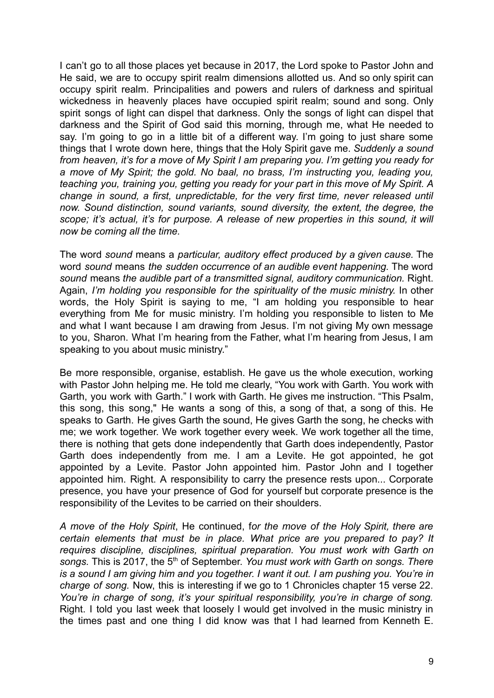I can't go to all those places yet because in 2017, the Lord spoke to Pastor John and He said, we are to occupy spirit realm dimensions allotted us. And so only spirit can occupy spirit realm. Principalities and powers and rulers of darkness and spiritual wickedness in heavenly places have occupied spirit realm; sound and song. Only spirit songs of light can dispel that darkness. Only the songs of light can dispel that darkness and the Spirit of God said this morning, through me, what He needed to say. I'm going to go in a little bit of a different way. I'm going to just share some things that I wrote down here, things that the Holy Spirit gave me. *Suddenly a sound from heaven, it's for a move of My Spirit I am preparing you. I'm getting you ready for a move of My Spirit; the gold. No baal, no brass, I'm instructing you, leading you, teaching you, training you, getting you ready for your part in this move of My Spirit. A change in sound, a first, unpredictable, for the very first time, never released until now. Sound distinction, sound variants, sound diversity, the extent, the degree, the scope; it's actual, it's for purpose. A release of new properties in this sound, it will now be coming all the time.*

The word *sound* means a *particular, auditory effect produced by a given cause.* The word *sound* means *the sudden occurrence of an audible event happening.* The word *sound* means *the audible part of a transmitted signal, auditory communication.* Right. Again, *I'm holding you responsible for the spirituality of the music ministry.* In other words, the Holy Spirit is saying to me, "I am holding you responsible to hear everything from Me for music ministry. I'm holding you responsible to listen to Me and what I want because I am drawing from Jesus. I'm not giving My own message to you, Sharon. What I'm hearing from the Father, what I'm hearing from Jesus, I am speaking to you about music ministry."

Be more responsible, organise, establish. He gave us the whole execution, working with Pastor John helping me. He told me clearly, "You work with Garth. You work with Garth, you work with Garth." I work with Garth. He gives me instruction. "This Psalm, this song, this song," He wants a song of this, a song of that, a song of this. He speaks to Garth. He gives Garth the sound, He gives Garth the song, he checks with me; we work together. We work together every week. We work together all the time, there is nothing that gets done independently that Garth does independently, Pastor Garth does independently from me. I am a Levite. He got appointed, he got appointed by a Levite. Pastor John appointed him. Pastor John and I together appointed him. Right. A responsibility to carry the presence rests upon... Corporate presence, you have your presence of God for yourself but corporate presence is the responsibility of the Levites to be carried on their shoulders.

*A move of the Holy Spirit*, He continued, f*or the move of the Holy Spirit, there are certain elements that must be in place. What price are you prepared to pay? It requires discipline, disciplines, spiritual preparation. You must work with Garth on songs.* This is 2017, the 5 th of September. *You must work with Garth on songs. There* is a sound I am giving him and you together. I want it out. I am pushing you. You're in *charge of song.* Now, this is interesting if we go to 1 Chronicles chapter 15 verse 22. *You're in charge of song, it's your spiritual responsibility, you're in charge of song.* Right. I told you last week that loosely I would get involved in the music ministry in the times past and one thing I did know was that I had learned from Kenneth E.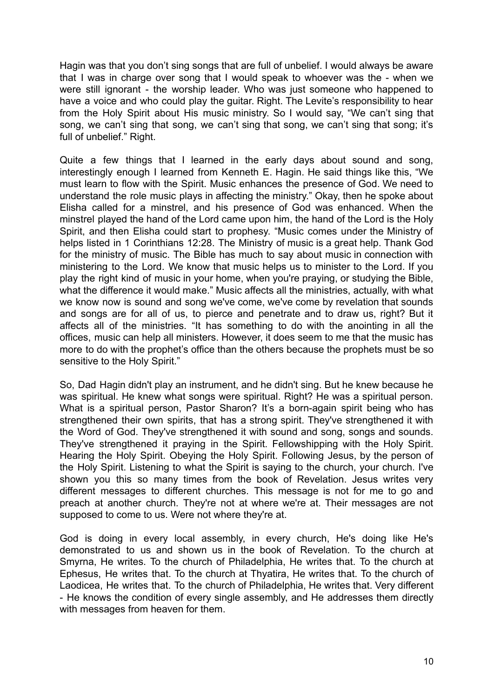Hagin was that you don't sing songs that are full of unbelief. I would always be aware that I was in charge over song that I would speak to whoever was the - when we were still ignorant - the worship leader. Who was just someone who happened to have a voice and who could play the guitar. Right. The Levite's responsibility to hear from the Holy Spirit about His music ministry. So I would say, "We can't sing that song, we can't sing that song, we can't sing that song, we can't sing that song; it's full of unbelief." Right.

Quite a few things that I learned in the early days about sound and song, interestingly enough I learned from Kenneth E. Hagin. He said things like this, "We must learn to flow with the Spirit. Music enhances the presence of God. We need to understand the role music plays in affecting the ministry." Okay, then he spoke about Elisha called for a minstrel, and his presence of God was enhanced. When the minstrel played the hand of the Lord came upon him, the hand of the Lord is the Holy Spirit, and then Elisha could start to prophesy. "Music comes under the Ministry of helps listed in 1 Corinthians 12:28. The Ministry of music is a great help. Thank God for the ministry of music. The Bible has much to say about music in connection with ministering to the Lord. We know that music helps us to minister to the Lord. If you play the right kind of music in your home, when you're praying, or studying the Bible, what the difference it would make." Music affects all the ministries, actually, with what we know now is sound and song we've come, we've come by revelation that sounds and songs are for all of us, to pierce and penetrate and to draw us, right? But it affects all of the ministries. "It has something to do with the anointing in all the offices, music can help all ministers. However, it does seem to me that the music has more to do with the prophet's office than the others because the prophets must be so sensitive to the Holy Spirit."

So, Dad Hagin didn't play an instrument, and he didn't sing. But he knew because he was spiritual. He knew what songs were spiritual. Right? He was a spiritual person. What is a spiritual person, Pastor Sharon? It's a born-again spirit being who has strengthened their own spirits, that has a strong spirit. They've strengthened it with the Word of God. They've strengthened it with sound and song, songs and sounds. They've strengthened it praying in the Spirit. Fellowshipping with the Holy Spirit. Hearing the Holy Spirit. Obeying the Holy Spirit. Following Jesus, by the person of the Holy Spirit. Listening to what the Spirit is saying to the church, your church. I've shown you this so many times from the book of Revelation. Jesus writes very different messages to different churches. This message is not for me to go and preach at another church. They're not at where we're at. Their messages are not supposed to come to us. Were not where they're at.

God is doing in every local assembly, in every church, He's doing like He's demonstrated to us and shown us in the book of Revelation. To the church at Smyrna, He writes. To the church of Philadelphia, He writes that. To the church at Ephesus, He writes that. To the church at Thyatira, He writes that. To the church of Laodicea, He writes that. To the church of Philadelphia, He writes that. Very different - He knows the condition of every single assembly, and He addresses them directly with messages from heaven for them.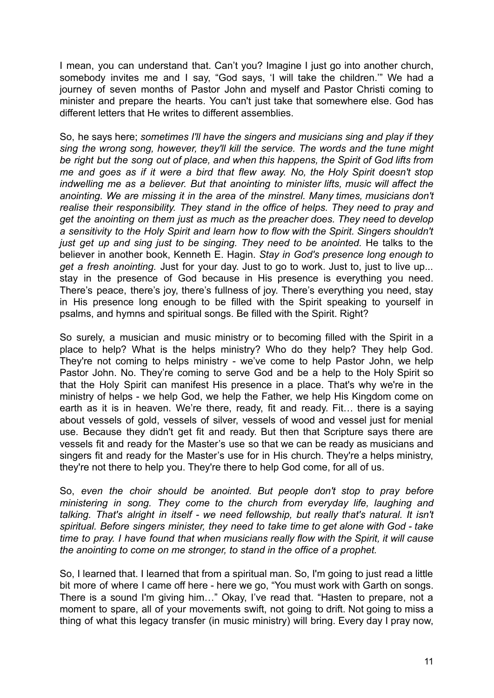I mean, you can understand that. Can't you? Imagine I just go into another church, somebody invites me and I say, "God says, 'I will take the children.'" We had a journey of seven months of Pastor John and myself and Pastor Christi coming to minister and prepare the hearts. You can't just take that somewhere else. God has different letters that He writes to different assemblies.

So, he says here; *sometimes I'll have the singers and musicians sing and play if they sing the wrong song, however, they'll kill the service. The words and the tune might be right but the song out of place, and when this happens, the Spirit of God lifts from me and goes as if it were a bird that flew away. No, the Holy Spirit doesn't stop indwelling me as a believer. But that anointing to minister lifts, music will affect the anointing. We are missing it in the area of the minstrel. Many times, musicians don't realise their responsibility. They stand in the office of helps. They need to pray and get the anointing on them just as much as the preacher does. They need to develop a sensitivity to the Holy Spirit and learn how to flow with the Spirit. Singers shouldn't just get up and sing just to be singing. They need to be anointed.* He talks to the believer in another book, Kenneth E. Hagin. *Stay in God's presence long enough to get a fresh anointing.* Just for your day. Just to go to work. Just to, just to live up... stay in the presence of God because in His presence is everything you need. There's peace, there's joy, there's fullness of joy. There's everything you need, stay in His presence long enough to be filled with the Spirit speaking to yourself in psalms, and hymns and spiritual songs. Be filled with the Spirit. Right?

So surely, a musician and music ministry or to becoming filled with the Spirit in a place to help? What is the helps ministry? Who do they help? They help God. They're not coming to helps ministry - we've come to help Pastor John, we help Pastor John. No. They're coming to serve God and be a help to the Holy Spirit so that the Holy Spirit can manifest His presence in a place. That's why we're in the ministry of helps - we help God, we help the Father, we help His Kingdom come on earth as it is in heaven. We're there, ready, fit and ready. Fit… there is a saying about vessels of gold, vessels of silver, vessels of wood and vessel just for menial use. Because they didn't get fit and ready. But then that Scripture says there are vessels fit and ready for the Master's use so that we can be ready as musicians and singers fit and ready for the Master's use for in His church. They're a helps ministry, they're not there to help you. They're there to help God come, for all of us.

So, *even the choir should be anointed. But people don't stop to pray before ministering in song. They come to the church from everyday life, laughing and talking. That's alright in itself - we need fellowship, but really that's natural. It isn't spiritual. Before singers minister, they need to take time to get alone with God - take time to pray. I have found that when musicians really flow with the Spirit, it will cause the anointing to come on me stronger, to stand in the office of a prophet.*

So, I learned that. I learned that from a spiritual man. So, I'm going to just read a little bit more of where I came off here - here we go, "You must work with Garth on songs. There is a sound I'm giving him…" Okay, I've read that. "Hasten to prepare, not a moment to spare, all of your movements swift, not going to drift. Not going to miss a thing of what this legacy transfer (in music ministry) will bring. Every day I pray now,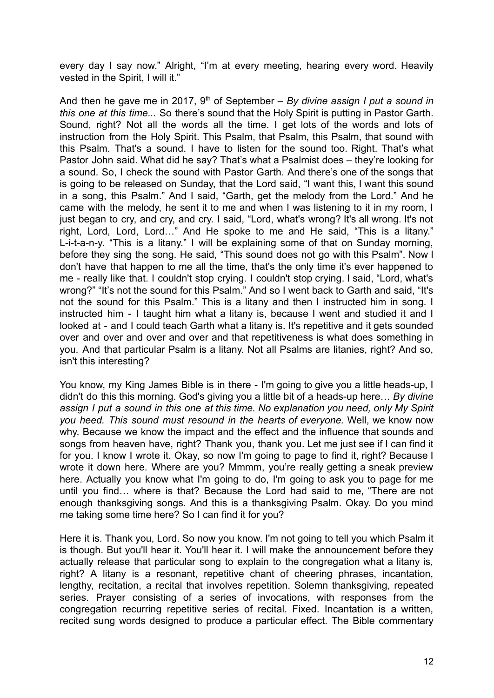every day I say now." Alright, "I'm at every meeting, hearing every word. Heavily vested in the Spirit, I will it."

And then he gave me in 2017, 9<sup>th</sup> of September – *By divine assign I put a sound in this one at this time...* So there's sound that the Holy Spirit is putting in Pastor Garth. Sound, right? Not all the words all the time. I get lots of the words and lots of instruction from the Holy Spirit. This Psalm, that Psalm, this Psalm, that sound with this Psalm. That's a sound. I have to listen for the sound too. Right. That's what Pastor John said. What did he say? That's what a Psalmist does – they're looking for a sound. So, I check the sound with Pastor Garth. And there's one of the songs that is going to be released on Sunday, that the Lord said, "I want this, I want this sound in a song, this Psalm." And I said, "Garth, get the melody from the Lord." And he came with the melody, he sent it to me and when I was listening to it in my room, I just began to cry, and cry, and cry. I said, "Lord, what's wrong? It's all wrong. It's not right, Lord, Lord, Lord…" And He spoke to me and He said, "This is a litany." L-i-t-a-n-y. "This is a litany." I will be explaining some of that on Sunday morning, before they sing the song. He said, "This sound does not go with this Psalm". Now I don't have that happen to me all the time, that's the only time it's ever happened to me - really like that. I couldn't stop crying. I couldn't stop crying. I said, "Lord, what's wrong?" "It's not the sound for this Psalm." And so I went back to Garth and said, "It's not the sound for this Psalm." This is a litany and then I instructed him in song. I instructed him - I taught him what a litany is, because I went and studied it and I looked at - and I could teach Garth what a litany is. It's repetitive and it gets sounded over and over and over and over and that repetitiveness is what does something in you. And that particular Psalm is a litany. Not all Psalms are litanies, right? And so, isn't this interesting?

You know, my King James Bible is in there - I'm going to give you a little heads-up, I didn't do this this morning. God's giving you a little bit of a heads-up here… *By divine assign I put a sound in this one at this time. No explanation you need, only My Spirit you heed. This sound must resound in the hearts of everyone.* Well, we know now why. Because we know the impact and the effect and the influence that sounds and songs from heaven have, right? Thank you, thank you. Let me just see if I can find it for you. I know I wrote it. Okay, so now I'm going to page to find it, right? Because I wrote it down here. Where are you? Mmmm, you're really getting a sneak preview here. Actually you know what I'm going to do, I'm going to ask you to page for me until you find… where is that? Because the Lord had said to me, "There are not enough thanksgiving songs. And this is a thanksgiving Psalm. Okay. Do you mind me taking some time here? So I can find it for you?

Here it is. Thank you, Lord. So now you know. I'm not going to tell you which Psalm it is though. But you'll hear it. You'll hear it. I will make the announcement before they actually release that particular song to explain to the congregation what a litany is, right? A litany is a resonant, repetitive chant of cheering phrases, incantation, lengthy, recitation, a recital that involves repetition. Solemn thanksgiving, repeated series. Prayer consisting of a series of invocations, with responses from the congregation recurring repetitive series of recital. Fixed. Incantation is a written, recited sung words designed to produce a particular effect. The Bible commentary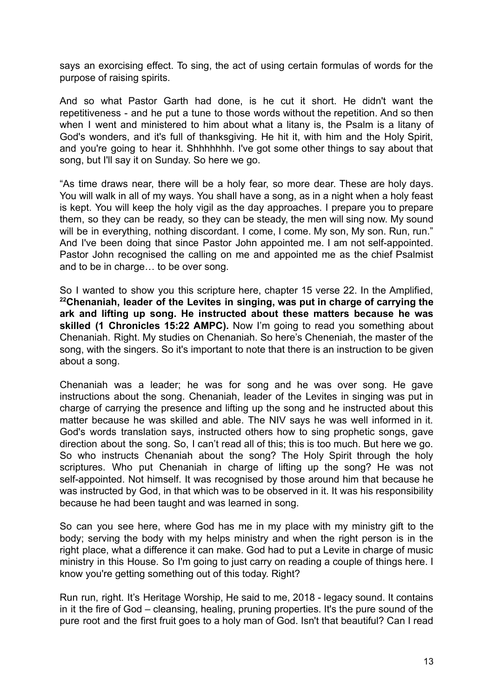says an exorcising effect. To sing, the act of using certain formulas of words for the purpose of raising spirits.

And so what Pastor Garth had done, is he cut it short. He didn't want the repetitiveness - and he put a tune to those words without the repetition. And so then when I went and ministered to him about what a litany is, the Psalm is a litany of God's wonders, and it's full of thanksgiving. He hit it, with him and the Holy Spirit, and you're going to hear it. Shhhhhhh. I've got some other things to say about that song, but I'll say it on Sunday. So here we go.

"As time draws near, there will be a holy fear, so more dear. These are holy days. You will walk in all of my ways. You shall have a song, as in a night when a holy feast is kept. You will keep the holy vigil as the day approaches. I prepare you to prepare them, so they can be ready, so they can be steady, the men will sing now. My sound will be in everything, nothing discordant. I come, I come. My son, My son. Run, run." And I've been doing that since Pastor John appointed me. I am not self-appointed. Pastor John recognised the calling on me and appointed me as the chief Psalmist and to be in charge… to be over song.

So I wanted to show you this scripture here, chapter 15 verse 22. In the Amplified, **<sup>22</sup>Chenaniah, leader of the Levites in singing, was put in charge of carrying the ark and lifting up song. He instructed about these matters because he was skilled (1 Chronicles 15:22 AMPC).** Now I'm going to read you something about Chenaniah. Right. My studies on Chenaniah. So here's Cheneniah, the master of the song, with the singers. So it's important to note that there is an instruction to be given about a song.

Chenaniah was a leader; he was for song and he was over song. He gave instructions about the song. Chenaniah, leader of the Levites in singing was put in charge of carrying the presence and lifting up the song and he instructed about this matter because he was skilled and able. The NIV says he was well informed in it. God's words translation says, instructed others how to sing prophetic songs, gave direction about the song. So, I can't read all of this; this is too much. But here we go. So who instructs Chenaniah about the song? The Holy Spirit through the holy scriptures. Who put Chenaniah in charge of lifting up the song? He was not self-appointed. Not himself. It was recognised by those around him that because he was instructed by God, in that which was to be observed in it. It was his responsibility because he had been taught and was learned in song.

So can you see here, where God has me in my place with my ministry gift to the body; serving the body with my helps ministry and when the right person is in the right place, what a difference it can make. God had to put a Levite in charge of music ministry in this House. So I'm going to just carry on reading a couple of things here. I know you're getting something out of this today. Right?

Run run, right. It's Heritage Worship, He said to me, 2018 - legacy sound. It contains in it the fire of God – cleansing, healing, pruning properties. It's the pure sound of the pure root and the first fruit goes to a holy man of God. Isn't that beautiful? Can I read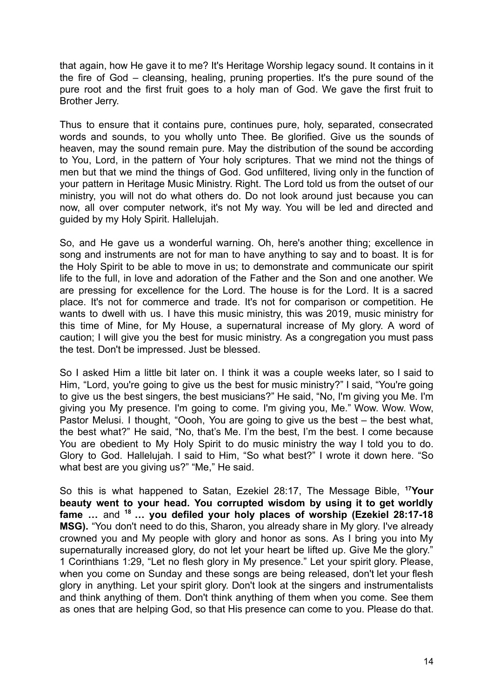that again, how He gave it to me? It's Heritage Worship legacy sound. It contains in it the fire of God – cleansing, healing, pruning properties. It's the pure sound of the pure root and the first fruit goes to a holy man of God. We gave the first fruit to Brother Jerry.

Thus to ensure that it contains pure, continues pure, holy, separated, consecrated words and sounds, to you wholly unto Thee. Be glorified. Give us the sounds of heaven, may the sound remain pure. May the distribution of the sound be according to You, Lord, in the pattern of Your holy scriptures. That we mind not the things of men but that we mind the things of God. God unfiltered, living only in the function of your pattern in Heritage Music Ministry. Right. The Lord told us from the outset of our ministry, you will not do what others do. Do not look around just because you can now, all over computer network, it's not My way. You will be led and directed and guided by my Holy Spirit. Hallelujah.

So, and He gave us a wonderful warning. Oh, here's another thing; excellence in song and instruments are not for man to have anything to say and to boast. It is for the Holy Spirit to be able to move in us; to demonstrate and communicate our spirit life to the full, in love and adoration of the Father and the Son and one another. We are pressing for excellence for the Lord. The house is for the Lord. It is a sacred place. It's not for commerce and trade. It's not for comparison or competition. He wants to dwell with us. I have this music ministry, this was 2019, music ministry for this time of Mine, for My House, a supernatural increase of My glory. A word of caution; I will give you the best for music ministry. As a congregation you must pass the test. Don't be impressed. Just be blessed.

So I asked Him a little bit later on. I think it was a couple weeks later, so I said to Him, "Lord, you're going to give us the best for music ministry?" I said, "You're going to give us the best singers, the best musicians?" He said, "No, I'm giving you Me. I'm giving you My presence. I'm going to come. I'm giving you, Me." Wow. Wow. Wow, Pastor Melusi. I thought, "Oooh, You are going to give us the best – the best what, the best what?" He said, "No, that's Me. I'm the best, I'm the best. I come because You are obedient to My Holy Spirit to do music ministry the way I told you to do. Glory to God. Hallelujah. I said to Him, "So what best?" I wrote it down here. "So what best are you giving us?" "Me," He said.

So this is what happened to Satan, Ezekiel 28:17, The Message Bible, **<sup>17</sup>Your beauty went to your head. You corrupted wisdom by using it to get worldly fame …** and **<sup>18</sup> … you defiled your holy places of worship (Ezekiel 28:17-18 MSG).** "You don't need to do this, Sharon, you already share in My glory. I've already crowned you and My people with glory and honor as sons. As I bring you into My supernaturally increased glory, do not let your heart be lifted up. Give Me the glory." 1 Corinthians 1:29, "Let no flesh glory in My presence." Let your spirit glory. Please, when you come on Sunday and these songs are being released, don't let your flesh glory in anything. Let your spirit glory. Don't look at the singers and instrumentalists and think anything of them. Don't think anything of them when you come. See them as ones that are helping God, so that His presence can come to you. Please do that.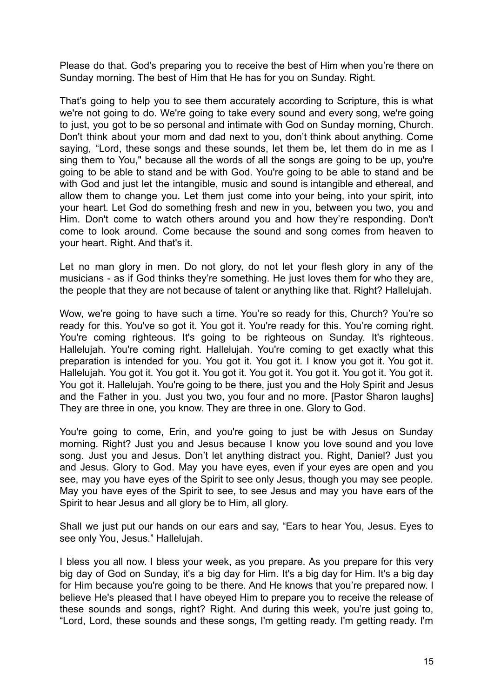Please do that. God's preparing you to receive the best of Him when you're there on Sunday morning. The best of Him that He has for you on Sunday. Right.

That's going to help you to see them accurately according to Scripture, this is what we're not going to do. We're going to take every sound and every song, we're going to just, you got to be so personal and intimate with God on Sunday morning, Church. Don't think about your mom and dad next to you, don't think about anything. Come saying, "Lord, these songs and these sounds, let them be, let them do in me as I sing them to You," because all the words of all the songs are going to be up, you're going to be able to stand and be with God. You're going to be able to stand and be with God and just let the intangible, music and sound is intangible and ethereal, and allow them to change you. Let them just come into your being, into your spirit, into your heart. Let God do something fresh and new in you, between you two, you and Him. Don't come to watch others around you and how they're responding. Don't come to look around. Come because the sound and song comes from heaven to your heart. Right. And that's it.

Let no man glory in men. Do not glory, do not let your flesh glory in any of the musicians - as if God thinks they're something. He just loves them for who they are, the people that they are not because of talent or anything like that. Right? Hallelujah.

Wow, we're going to have such a time. You're so ready for this, Church? You're so ready for this. You've so got it. You got it. You're ready for this. You're coming right. You're coming righteous. It's going to be righteous on Sunday. It's righteous. Hallelujah. You're coming right. Hallelujah. You're coming to get exactly what this preparation is intended for you. You got it. You got it. I know you got it. You got it. Hallelujah. You got it. You got it. You got it. You got it. You got it. You got it. You got it. You got it. Hallelujah. You're going to be there, just you and the Holy Spirit and Jesus and the Father in you. Just you two, you four and no more. [Pastor Sharon laughs] They are three in one, you know. They are three in one. Glory to God.

You're going to come, Erin, and you're going to just be with Jesus on Sunday morning. Right? Just you and Jesus because I know you love sound and you love song. Just you and Jesus. Don't let anything distract you. Right, Daniel? Just you and Jesus. Glory to God. May you have eyes, even if your eyes are open and you see, may you have eyes of the Spirit to see only Jesus, though you may see people. May you have eyes of the Spirit to see, to see Jesus and may you have ears of the Spirit to hear Jesus and all glory be to Him, all glory.

Shall we just put our hands on our ears and say, "Ears to hear You, Jesus. Eyes to see only You, Jesus." Hallelujah.

I bless you all now. I bless your week, as you prepare. As you prepare for this very big day of God on Sunday, it's a big day for Him. It's a big day for Him. It's a big day for Him because you're going to be there. And He knows that you're prepared now. I believe He's pleased that I have obeyed Him to prepare you to receive the release of these sounds and songs, right? Right. And during this week, you're just going to, "Lord, Lord, these sounds and these songs, I'm getting ready. I'm getting ready. I'm